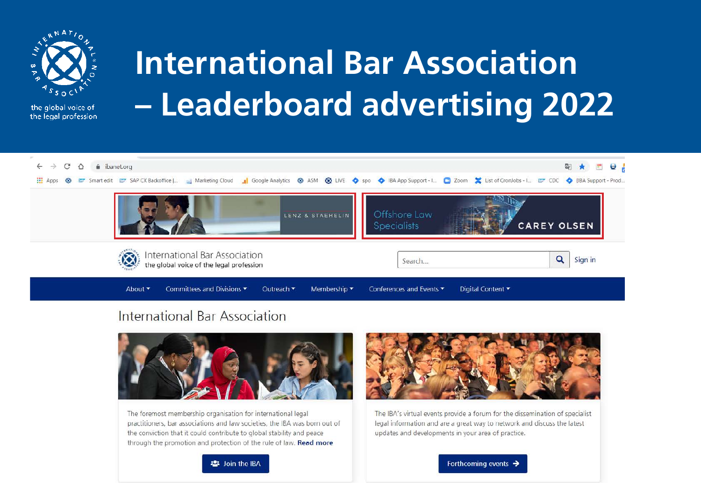

the global voice of the legal profession.

# **International Bar Association** - Leaderboard advertising 2022



### International Bar Association



The foremost membership organisation for international legal practitioners, bar associations and law societies, the IBA was born out of the conviction that it could contribute to global stability and peace through the promotion and protection of the rule of law. Read more



The IBA's virtual events provide a forum for the dissemination of specialist legal information and are a great way to network and discuss the latest updates and developments in your area of practice.



Forthcoming events  $\rightarrow$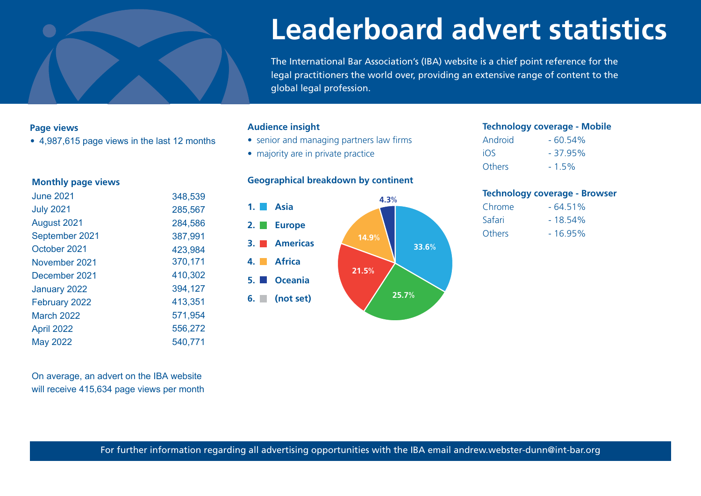

## **Leaderboard advert statistics**

The International Bar Association's (IBA) website is a chief point reference for the legal practitioners the world over, providing an extensive range of content to the global legal profession.

#### **Page views**

• 4,987,615 page views in the last 12 months

#### **Monthly page views**

| <b>June 2021</b> | 348,539 |
|------------------|---------|
| <b>July 2021</b> | 285,567 |
| August 2021      | 284,586 |
| September 2021   | 387,991 |
| October 2021     | 423,984 |
| November 2021    | 370,171 |
| December 2021    | 410,302 |
| January 2022     | 394,127 |
| February 2022    | 413,351 |
| March 2022       | 571,954 |
| April 2022       | 556,272 |
| <b>May 2022</b>  | 540,771 |
|                  |         |

#### **Audience insight**

- senior and managing partners law firms
- majority are in private practice

#### **Geographical breakdown by continent**



#### **Technology coverage - Mobile**

| Android | $-60.54%$ |
|---------|-----------|
| iOS     | $-37.95%$ |
| Others  | $-1.5\%$  |

#### **Technology coverage - Browser**

| $-64.51%$  |
|------------|
| $-18.54\%$ |
| $-16.95%$  |
|            |

On average, an advert on the IBA website will receive 415,634 page views per month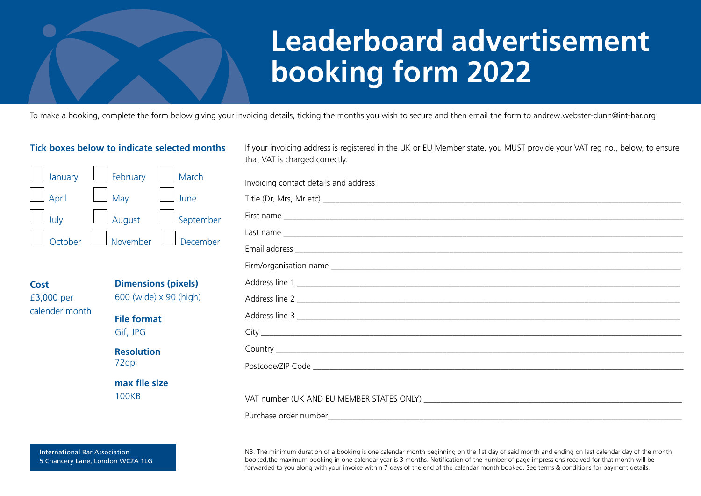### **Leaderboard advertisement booking form 2022**

To make a booking, complete the form below giving your invoicing details, ticking the months you wish to secure and then email the form to andrew.webster-dunn@int-bar.org

#### **Tick boxes below to indicate selected months**



**Cost** £3,000 per calender month

**Dimensions (pixels)** 600 (wide) x 90 (high) **File format** Gif, JPG **Resolution**  72dpi

**max file size** 100KB

If your invoicing address is registered in the UK or EU Member state, you MUST provide your VAT reg no., below, to ensure that VAT is charged correctly.

| Invoicing contact details and address |
|---------------------------------------|
|                                       |
|                                       |
|                                       |
|                                       |
|                                       |
| Address line 1                        |
|                                       |
|                                       |
|                                       |
|                                       |
|                                       |
|                                       |
|                                       |
|                                       |

NB. The minimum duration of a booking is one calendar month beginning on the 1st day of said month and ending on last calendar day of the month booked,the maximum booking in one calendar year is 3 months. Notification of the number of page impressions received for that month will be forwarded to you along with your invoice within 7 days of the end of the calendar month booked. See terms & conditions for payment details.

International Bar Association 5 Chancery Lane, London WC2A 1LG